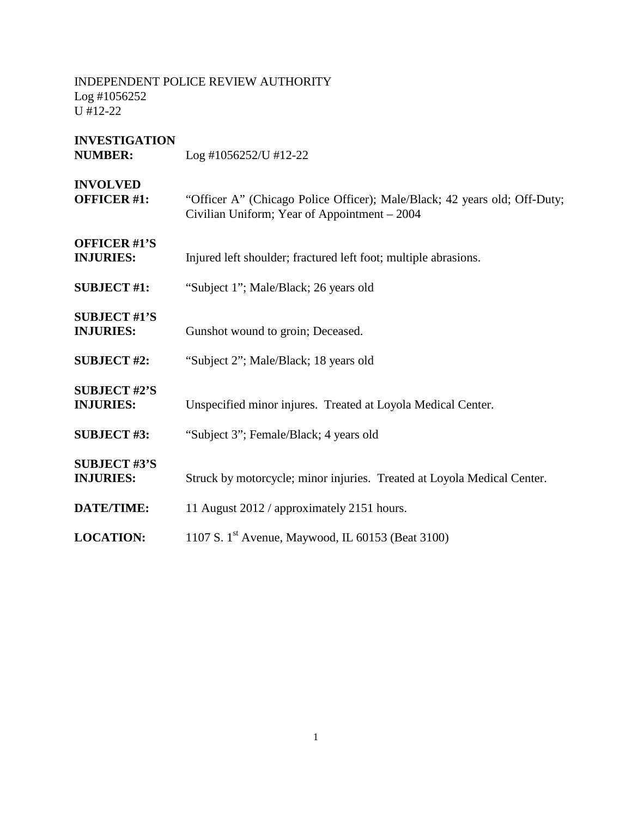| <b>INVESTIGATION</b><br><b>NUMBER:</b>  | $Log #1056252/U #12-22$                                                                                                   |
|-----------------------------------------|---------------------------------------------------------------------------------------------------------------------------|
| <b>INVOLVED</b><br><b>OFFICER #1:</b>   | "Officer A" (Chicago Police Officer); Male/Black; 42 years old; Off-Duty;<br>Civilian Uniform; Year of Appointment - 2004 |
| <b>OFFICER #1'S</b><br><b>INJURIES:</b> | Injured left shoulder; fractured left foot; multiple abrasions.                                                           |
| <b>SUBJECT #1:</b>                      | "Subject 1"; Male/Black; 26 years old                                                                                     |
| <b>SUBJECT #1'S</b><br><b>INJURIES:</b> | Gunshot wound to groin; Deceased.                                                                                         |
| <b>SUBJECT #2:</b>                      | "Subject 2"; Male/Black; 18 years old                                                                                     |
| <b>SUBJECT #2'S</b><br><b>INJURIES:</b> | Unspecified minor injures. Treated at Loyola Medical Center.                                                              |
| <b>SUBJECT #3:</b>                      | "Subject 3"; Female/Black; 4 years old                                                                                    |
| <b>SUBJECT #3'S</b><br><b>INJURIES:</b> | Struck by motorcycle; minor injuries. Treated at Loyola Medical Center.                                                   |
| DATE/TIME:                              | 11 August 2012 / approximately 2151 hours.                                                                                |
| <b>LOCATION:</b>                        | 1107 S. 1 <sup>st</sup> Avenue, Maywood, IL 60153 (Beat 3100)                                                             |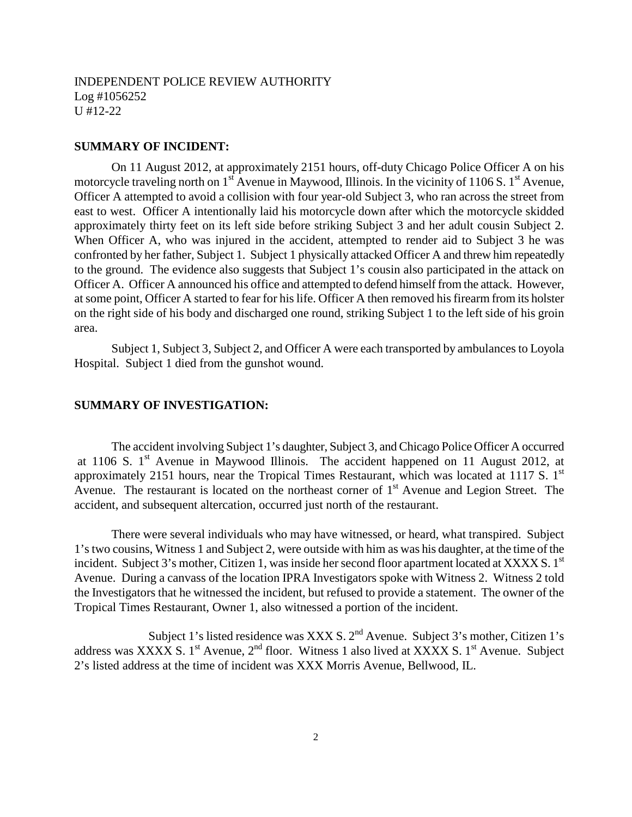#### **SUMMARY OF INCIDENT:**

On 11 August 2012, at approximately 2151 hours, off-duty Chicago Police Officer A on his motorcycle traveling north on  $1<sup>st</sup>$  Avenue in Maywood, Illinois. In the vicinity of 1106 S.  $1<sup>st</sup>$  Avenue, Officer A attempted to avoid a collision with four year-old Subject 3, who ran across the street from east to west. Officer A intentionally laid his motorcycle down after which the motorcycle skidded approximately thirty feet on its left side before striking Subject 3 and her adult cousin Subject 2. When Officer A, who was injured in the accident, attempted to render aid to Subject 3 he was confronted by her father, Subject 1. Subject 1 physically attacked Officer A and threw him repeatedly to the ground. The evidence also suggests that Subject 1's cousin also participated in the attack on Officer A. Officer A announced his office and attempted to defend himself from the attack. However, at some point, Officer A started to fear for his life. Officer A then removed his firearm from its holster on the right side of his body and discharged one round, striking Subject 1 to the left side of his groin area.

Subject 1, Subject 3, Subject 2, and Officer A were each transported by ambulances to Loyola Hospital. Subject 1 died from the gunshot wound.

#### **SUMMARY OF INVESTIGATION:**

The accident involving Subject 1's daughter, Subject 3, and Chicago Police Officer A occurred at 1106 S.  $1<sup>st</sup>$  Avenue in Maywood Illinois. The accident happened on 11 August 2012, at approximately 2151 hours, near the Tropical Times Restaurant, which was located at 1117 S.  $1<sup>st</sup>$ Avenue. The restaurant is located on the northeast corner of  $1<sup>st</sup>$  Avenue and Legion Street. The accident, and subsequent altercation, occurred just north of the restaurant.

There were several individuals who may have witnessed, or heard, what transpired. Subject 1's two cousins, Witness 1 and Subject 2, were outside with him as was his daughter, at the time of the incident. Subject 3's mother, Citizen 1, was inside her second floor apartment located at XXXX S.  $1<sup>st</sup>$ Avenue. During a canvass of the location IPRA Investigators spoke with Witness 2. Witness 2 told the Investigators that he witnessed the incident, but refused to provide a statement. The owner of the Tropical Times Restaurant, Owner 1, also witnessed a portion of the incident.

Subject 1's listed residence was XXX S.  $2<sup>nd</sup>$  Avenue. Subject 3's mother, Citizen 1's address was XXXX S. 1<sup>st</sup> Avenue,  $2<sup>nd</sup>$  floor. Witness 1 also lived at XXXX S. 1<sup>st</sup> Avenue. Subject 2's listed address at the time of incident was XXX Morris Avenue, Bellwood, IL.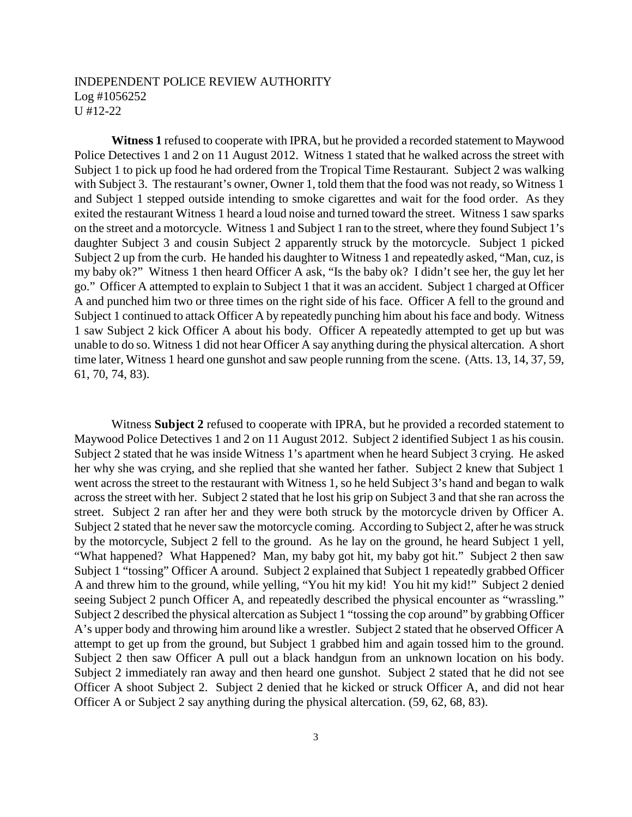**Witness 1** refused to cooperate with IPRA, but he provided a recorded statement to Maywood Police Detectives 1 and 2 on 11 August 2012. Witness 1 stated that he walked across the street with Subject 1 to pick up food he had ordered from the Tropical Time Restaurant. Subject 2 was walking with Subject 3. The restaurant's owner, Owner 1, told them that the food was not ready, so Witness 1 and Subject 1 stepped outside intending to smoke cigarettes and wait for the food order. As they exited the restaurant Witness 1 heard a loud noise and turned toward the street. Witness 1 saw sparks on the street and a motorcycle. Witness 1 and Subject 1 ran to the street, where they found Subject 1's daughter Subject 3 and cousin Subject 2 apparently struck by the motorcycle. Subject 1 picked Subject 2 up from the curb. He handed his daughter to Witness 1 and repeatedly asked, "Man, cuz, is my baby ok?" Witness 1 then heard Officer A ask, "Is the baby ok? I didn't see her, the guy let her go." Officer A attempted to explain to Subject 1 that it was an accident. Subject 1 charged at Officer A and punched him two or three times on the right side of his face. Officer A fell to the ground and Subject 1 continued to attack Officer A by repeatedly punching him about his face and body. Witness 1 saw Subject 2 kick Officer A about his body. Officer A repeatedly attempted to get up but was unable to do so. Witness 1 did not hear Officer A say anything during the physical altercation. A short time later, Witness 1 heard one gunshot and saw people running from the scene. (Atts. 13, 14, 37, 59, 61, 70, 74, 83).

Witness **Subject 2** refused to cooperate with IPRA, but he provided a recorded statement to Maywood Police Detectives 1 and 2 on 11 August 2012. Subject 2 identified Subject 1 as his cousin. Subject 2 stated that he was inside Witness 1's apartment when he heard Subject 3 crying. He asked her why she was crying, and she replied that she wanted her father. Subject 2 knew that Subject 1 went across the street to the restaurant with Witness 1, so he held Subject 3's hand and began to walk across the street with her. Subject 2 stated that he lost his grip on Subject 3 and that she ran across the street. Subject 2 ran after her and they were both struck by the motorcycle driven by Officer A. Subject 2 stated that he never saw the motorcycle coming. According to Subject 2, after he was struck by the motorcycle, Subject 2 fell to the ground. As he lay on the ground, he heard Subject 1 yell, "What happened? What Happened? Man, my baby got hit, my baby got hit." Subject 2 then saw Subject 1 "tossing" Officer A around. Subject 2 explained that Subject 1 repeatedly grabbed Officer A and threw him to the ground, while yelling, "You hit my kid! You hit my kid!" Subject 2 denied seeing Subject 2 punch Officer A, and repeatedly described the physical encounter as "wrassling." Subject 2 described the physical altercation as Subject 1 "tossing the cop around" by grabbing Officer A's upper body and throwing him around like a wrestler. Subject 2 stated that he observed Officer A attempt to get up from the ground, but Subject 1 grabbed him and again tossed him to the ground. Subject 2 then saw Officer A pull out a black handgun from an unknown location on his body. Subject 2 immediately ran away and then heard one gunshot. Subject 2 stated that he did not see Officer A shoot Subject 2. Subject 2 denied that he kicked or struck Officer A, and did not hear Officer A or Subject 2 say anything during the physical altercation. (59, 62, 68, 83).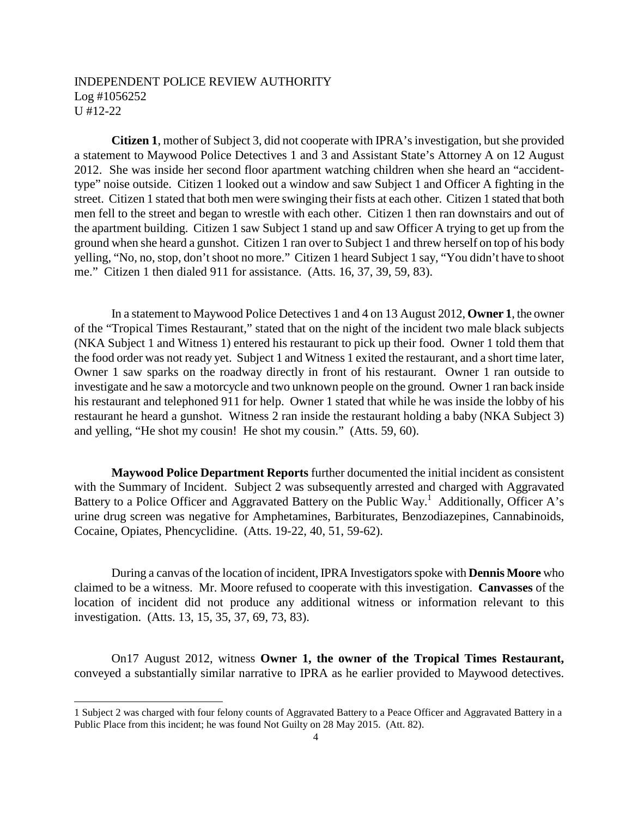**Citizen 1**, mother of Subject 3, did not cooperate with IPRA's investigation, but she provided a statement to Maywood Police Detectives 1 and 3 and Assistant State's Attorney A on 12 August 2012. She was inside her second floor apartment watching children when she heard an "accidenttype" noise outside. Citizen 1 looked out a window and saw Subject 1 and Officer A fighting in the street. Citizen 1 stated that both men were swinging their fists at each other. Citizen 1 stated that both men fell to the street and began to wrestle with each other. Citizen 1 then ran downstairs and out of the apartment building. Citizen 1 saw Subject 1 stand up and saw Officer A trying to get up from the ground when she heard a gunshot. Citizen 1 ran over to Subject 1 and threw herself on top of his body yelling, "No, no, stop, don't shoot no more." Citizen 1 heard Subject 1 say, "You didn't have to shoot me." Citizen 1 then dialed 911 for assistance. (Atts. 16, 37, 39, 59, 83).

In a statement to Maywood Police Detectives 1 and 4 on 13 August 2012, **Owner 1**, the owner of the "Tropical Times Restaurant," stated that on the night of the incident two male black subjects (NKA Subject 1 and Witness 1) entered his restaurant to pick up their food. Owner 1 told them that the food order was not ready yet. Subject 1 and Witness 1 exited the restaurant, and a short time later, Owner 1 saw sparks on the roadway directly in front of his restaurant. Owner 1 ran outside to investigate and he saw a motorcycle and two unknown people on the ground. Owner 1 ran back inside his restaurant and telephoned 911 for help. Owner 1 stated that while he was inside the lobby of his restaurant he heard a gunshot. Witness 2 ran inside the restaurant holding a baby (NKA Subject 3) and yelling, "He shot my cousin! He shot my cousin." (Atts. 59, 60).

**Maywood Police Department Reports** further documented the initial incident as consistent with the Summary of Incident. Subject 2 was subsequently arrested and charged with Aggravated Battery to a Police Officer and Aggravated Battery on the Public Way.<sup>1</sup> Additionally, Officer A's urine drug screen was negative for Amphetamines, Barbiturates, Benzodiazepines, Cannabinoids, Cocaine, Opiates, Phencyclidine. (Atts. 19-22, 40, 51, 59-62).

During a canvas of the location of incident, IPRA Investigators spoke with **Dennis Moore** who claimed to be a witness. Mr. Moore refused to cooperate with this investigation. **Canvasses** of the location of incident did not produce any additional witness or information relevant to this investigation. (Atts. 13, 15, 35, 37, 69, 73, 83).

On17 August 2012, witness **Owner 1, the owner of the Tropical Times Restaurant,** conveyed a substantially similar narrative to IPRA as he earlier provided to Maywood detectives.

<sup>1</sup> Subject 2 was charged with four felony counts of Aggravated Battery to a Peace Officer and Aggravated Battery in a Public Place from this incident; he was found Not Guilty on 28 May 2015. (Att. 82).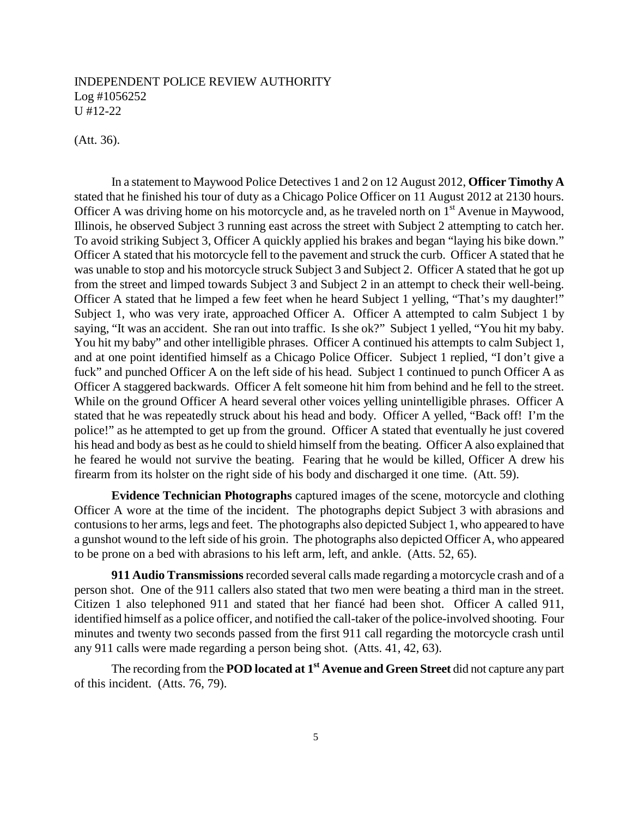(Att. 36).

In a statement to Maywood Police Detectives 1 and 2 on 12 August 2012, **Officer Timothy A** stated that he finished his tour of duty as a Chicago Police Officer on 11 August 2012 at 2130 hours. Officer A was driving home on his motorcycle and, as he traveled north on  $1<sup>st</sup>$  Avenue in Maywood, Illinois, he observed Subject 3 running east across the street with Subject 2 attempting to catch her. To avoid striking Subject 3, Officer A quickly applied his brakes and began "laying his bike down." Officer A stated that his motorcycle fell to the pavement and struck the curb. Officer A stated that he was unable to stop and his motorcycle struck Subject 3 and Subject 2. Officer A stated that he got up from the street and limped towards Subject 3 and Subject 2 in an attempt to check their well-being. Officer A stated that he limped a few feet when he heard Subject 1 yelling, "That's my daughter!" Subject 1, who was very irate, approached Officer A. Officer A attempted to calm Subject 1 by saying, "It was an accident. She ran out into traffic. Is she ok?" Subject 1 yelled, "You hit my baby. You hit my baby" and other intelligible phrases. Officer A continued his attempts to calm Subject 1, and at one point identified himself as a Chicago Police Officer. Subject 1 replied, "I don't give a fuck" and punched Officer A on the left side of his head. Subject 1 continued to punch Officer A as Officer A staggered backwards. Officer A felt someone hit him from behind and he fell to the street. While on the ground Officer A heard several other voices yelling unintelligible phrases. Officer A stated that he was repeatedly struck about his head and body. Officer A yelled, "Back off! I'm the police!" as he attempted to get up from the ground. Officer A stated that eventually he just covered his head and body as best as he could to shield himself from the beating. Officer A also explained that he feared he would not survive the beating. Fearing that he would be killed, Officer A drew his firearm from its holster on the right side of his body and discharged it one time. (Att. 59).

**Evidence Technician Photographs** captured images of the scene, motorcycle and clothing Officer A wore at the time of the incident. The photographs depict Subject 3 with abrasions and contusions to her arms, legs and feet. The photographs also depicted Subject 1, who appeared to have a gunshot wound to the left side of his groin. The photographs also depicted Officer A, who appeared to be prone on a bed with abrasions to his left arm, left, and ankle. (Atts. 52, 65).

**911 Audio Transmissions**recorded several calls made regarding a motorcycle crash and of a person shot. One of the 911 callers also stated that two men were beating a third man in the street. Citizen 1 also telephoned 911 and stated that her fiancé had been shot. Officer A called 911, identified himself as a police officer, and notified the call-taker of the police-involved shooting. Four minutes and twenty two seconds passed from the first 911 call regarding the motorcycle crash until any 911 calls were made regarding a person being shot. (Atts. 41, 42, 63).

The recording from the **POD located at 1st Avenue and Green Street** did not capture any part of this incident. (Atts. 76, 79).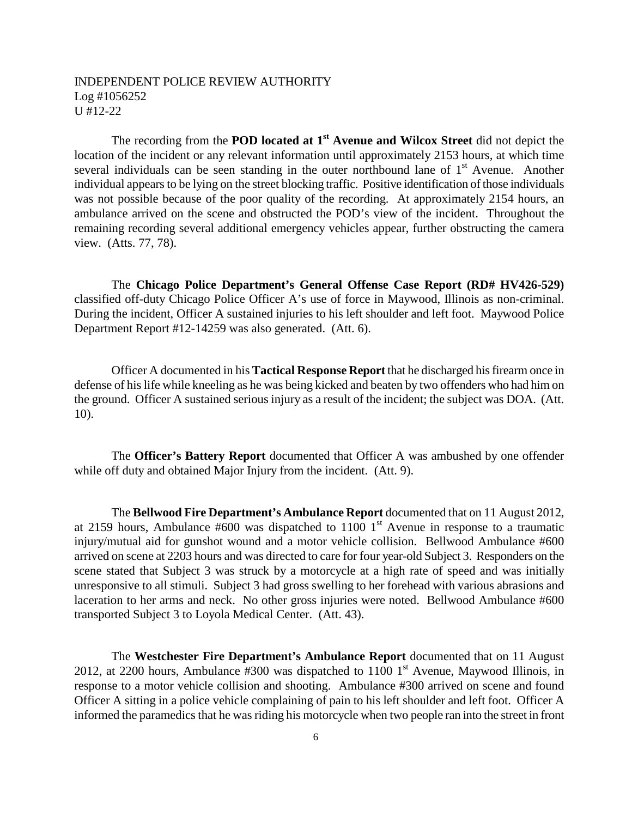The recording from the **POD located at 1st Avenue and Wilcox Street** did not depict the location of the incident or any relevant information until approximately 2153 hours, at which time several individuals can be seen standing in the outer northbound lane of  $1<sup>st</sup>$  Avenue. Another individual appears to be lying on the street blocking traffic. Positive identification of those individuals was not possible because of the poor quality of the recording. At approximately 2154 hours, an ambulance arrived on the scene and obstructed the POD's view of the incident. Throughout the remaining recording several additional emergency vehicles appear, further obstructing the camera view. (Atts. 77, 78).

The **Chicago Police Department's General Offense Case Report (RD# HV426-529)** classified off-duty Chicago Police Officer A's use of force in Maywood, Illinois as non-criminal. During the incident, Officer A sustained injuries to his left shoulder and left foot. Maywood Police Department Report #12-14259 was also generated. (Att. 6).

Officer A documented in his **Tactical Response Report** that he discharged his firearm once in defense of his life while kneeling as he was being kicked and beaten by two offenders who had him on the ground. Officer A sustained serious injury as a result of the incident; the subject was DOA. (Att. 10).

The **Officer's Battery Report** documented that Officer A was ambushed by one offender while off duty and obtained Major Injury from the incident. (Att. 9).

The **Bellwood Fire Department's Ambulance Report** documented that on 11 August 2012, at 2159 hours, Ambulance  $#600$  was dispatched to 1100 1<sup>st</sup> Avenue in response to a traumatic injury/mutual aid for gunshot wound and a motor vehicle collision. Bellwood Ambulance #600 arrived on scene at 2203 hours and was directed to care for four year-old Subject 3. Responders on the scene stated that Subject 3 was struck by a motorcycle at a high rate of speed and was initially unresponsive to all stimuli. Subject 3 had gross swelling to her forehead with various abrasions and laceration to her arms and neck. No other gross injuries were noted. Bellwood Ambulance #600 transported Subject 3 to Loyola Medical Center. (Att. 43).

The **Westchester Fire Department's Ambulance Report** documented that on 11 August 2012, at 2200 hours, Ambulance  $#300$  was dispatched to 1100 1<sup>st</sup> Avenue, Maywood Illinois, in response to a motor vehicle collision and shooting. Ambulance #300 arrived on scene and found Officer A sitting in a police vehicle complaining of pain to his left shoulder and left foot. Officer A informed the paramedics that he was riding his motorcycle when two people ran into the street in front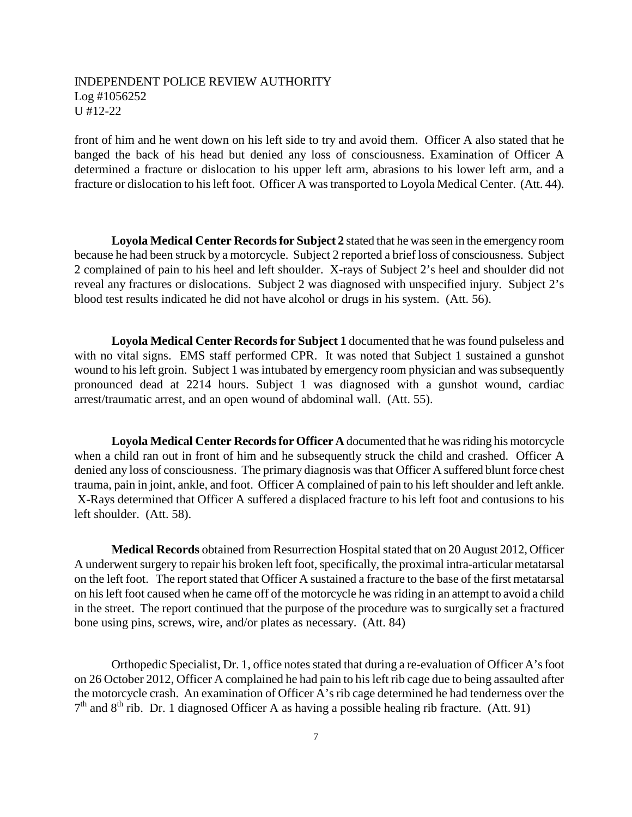front of him and he went down on his left side to try and avoid them. Officer A also stated that he banged the back of his head but denied any loss of consciousness. Examination of Officer A determined a fracture or dislocation to his upper left arm, abrasions to his lower left arm, and a fracture or dislocation to his left foot. Officer A was transported to Loyola Medical Center. (Att. 44).

**Loyola Medical Center Records for Subject 2** stated that he was seen in the emergency room because he had been struck by a motorcycle. Subject 2 reported a brief loss of consciousness. Subject 2 complained of pain to his heel and left shoulder. X-rays of Subject 2's heel and shoulder did not reveal any fractures or dislocations. Subject 2 was diagnosed with unspecified injury. Subject 2's blood test results indicated he did not have alcohol or drugs in his system. (Att. 56).

**Loyola Medical Center Records for Subject 1** documented that he was found pulseless and with no vital signs. EMS staff performed CPR. It was noted that Subject 1 sustained a gunshot wound to his left groin. Subject 1 was intubated by emergency room physician and was subsequently pronounced dead at 2214 hours. Subject 1 was diagnosed with a gunshot wound, cardiac arrest/traumatic arrest, and an open wound of abdominal wall. (Att. 55).

**Loyola Medical Center Records for Officer A** documented that he was riding his motorcycle when a child ran out in front of him and he subsequently struck the child and crashed. Officer A denied any loss of consciousness. The primary diagnosis was that Officer A suffered blunt force chest trauma, pain in joint, ankle, and foot. Officer A complained of pain to his left shoulder and left ankle. X-Rays determined that Officer A suffered a displaced fracture to his left foot and contusions to his left shoulder. (Att. 58).

**Medical Records** obtained from Resurrection Hospital stated that on 20 August 2012, Officer A underwent surgery to repair his broken left foot, specifically, the proximal intra-articular metatarsal on the left foot. The report stated that Officer A sustained a fracture to the base of the first metatarsal on his left foot caused when he came off of the motorcycle he was riding in an attempt to avoid a child in the street. The report continued that the purpose of the procedure was to surgically set a fractured bone using pins, screws, wire, and/or plates as necessary. (Att. 84)

Orthopedic Specialist, Dr. 1, office notes stated that during a re-evaluation of Officer A's foot on 26 October 2012, Officer A complained he had pain to his left rib cage due to being assaulted after the motorcycle crash. An examination of Officer A's rib cage determined he had tenderness over the  $7<sup>th</sup>$  and  $8<sup>th</sup>$  rib. Dr. 1 diagnosed Officer A as having a possible healing rib fracture. (Att. 91)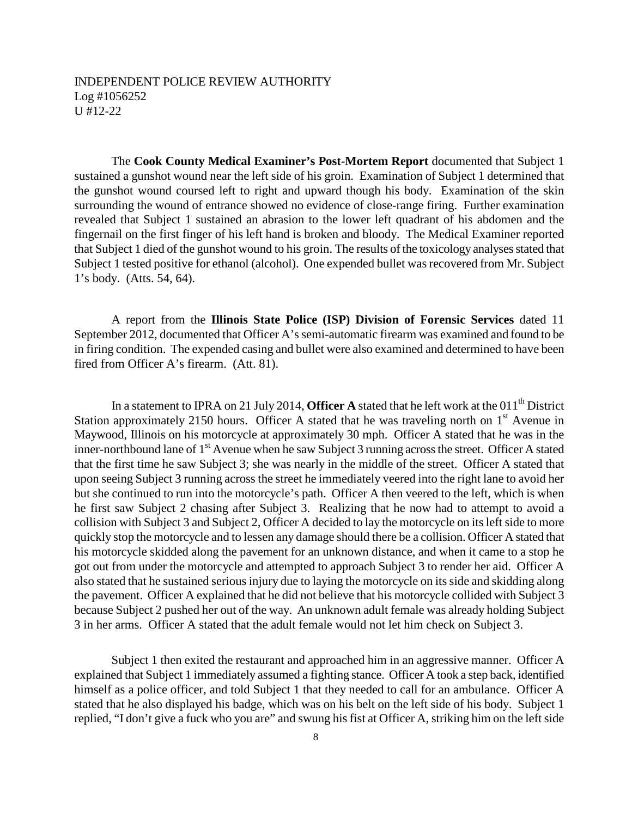The **Cook County Medical Examiner's Post-Mortem Report** documented that Subject 1 sustained a gunshot wound near the left side of his groin. Examination of Subject 1 determined that the gunshot wound coursed left to right and upward though his body. Examination of the skin surrounding the wound of entrance showed no evidence of close-range firing. Further examination revealed that Subject 1 sustained an abrasion to the lower left quadrant of his abdomen and the fingernail on the first finger of his left hand is broken and bloody. The Medical Examiner reported that Subject 1 died of the gunshot wound to his groin. The results of the toxicology analyses stated that Subject 1 tested positive for ethanol (alcohol). One expended bullet was recovered from Mr. Subject 1's body. (Atts. 54, 64).

A report from the **Illinois State Police (ISP) Division of Forensic Services** dated 11 September 2012, documented that Officer A's semi-automatic firearm was examined and found to be in firing condition. The expended casing and bullet were also examined and determined to have been fired from Officer A's firearm. (Att. 81).

In a statement to IPRA on 21 July 2014, **Officer A** stated that he left work at the 011<sup>th</sup> District Station approximately 2150 hours. Officer A stated that he was traveling north on  $1<sup>st</sup>$  Avenue in Maywood, Illinois on his motorcycle at approximately 30 mph. Officer A stated that he was in the inner-northbound lane of 1<sup>st</sup> Avenue when he saw Subject 3 running across the street. Officer A stated that the first time he saw Subject 3; she was nearly in the middle of the street. Officer A stated that upon seeing Subject 3 running across the street he immediately veered into the right lane to avoid her but she continued to run into the motorcycle's path. Officer A then veered to the left, which is when he first saw Subject 2 chasing after Subject 3. Realizing that he now had to attempt to avoid a collision with Subject 3 and Subject 2, Officer A decided to lay the motorcycle on its left side to more quickly stop the motorcycle and to lessen any damage should there be a collision. Officer A stated that his motorcycle skidded along the pavement for an unknown distance, and when it came to a stop he got out from under the motorcycle and attempted to approach Subject 3 to render her aid. Officer A also stated that he sustained serious injury due to laying the motorcycle on its side and skidding along the pavement. Officer A explained that he did not believe that his motorcycle collided with Subject 3 because Subject 2 pushed her out of the way. An unknown adult female was already holding Subject 3 in her arms. Officer A stated that the adult female would not let him check on Subject 3.

Subject 1 then exited the restaurant and approached him in an aggressive manner. Officer A explained that Subject 1 immediately assumed a fighting stance. Officer A took a step back, identified himself as a police officer, and told Subject 1 that they needed to call for an ambulance. Officer A stated that he also displayed his badge, which was on his belt on the left side of his body. Subject 1 replied, "I don't give a fuck who you are" and swung his fist at Officer A, striking him on the left side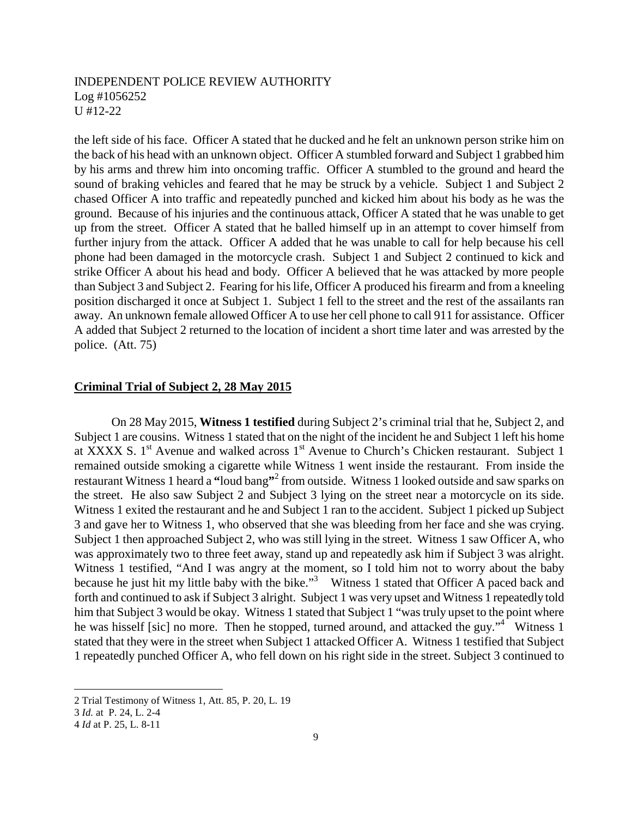the left side of his face. Officer A stated that he ducked and he felt an unknown person strike him on the back of his head with an unknown object. Officer A stumbled forward and Subject 1 grabbed him by his arms and threw him into oncoming traffic. Officer A stumbled to the ground and heard the sound of braking vehicles and feared that he may be struck by a vehicle. Subject 1 and Subject 2 chased Officer A into traffic and repeatedly punched and kicked him about his body as he was the ground. Because of his injuries and the continuous attack, Officer A stated that he was unable to get up from the street. Officer A stated that he balled himself up in an attempt to cover himself from further injury from the attack. Officer A added that he was unable to call for help because his cell phone had been damaged in the motorcycle crash. Subject 1 and Subject 2 continued to kick and strike Officer A about his head and body. Officer A believed that he was attacked by more people than Subject 3 and Subject 2. Fearing for his life, Officer A produced his firearm and from a kneeling position discharged it once at Subject 1. Subject 1 fell to the street and the rest of the assailants ran away. An unknown female allowed Officer A to use her cell phone to call 911 for assistance. Officer A added that Subject 2 returned to the location of incident a short time later and was arrested by the police. (Att. 75)

### **Criminal Trial of Subject 2, 28 May 2015**

On 28 May 2015, **Witness 1 testified** during Subject 2's criminal trial that he, Subject 2, and Subject 1 are cousins. Witness 1 stated that on the night of the incident he and Subject 1 left his home at XXXX S. 1<sup>st</sup> Avenue and walked across 1<sup>st</sup> Avenue to Church's Chicken restaurant. Subject 1 remained outside smoking a cigarette while Witness 1 went inside the restaurant. From inside the restaurant Witness 1 heard a **"**loud bang**"** 2 from outside. Witness 1 looked outside and saw sparks on the street. He also saw Subject 2 and Subject 3 lying on the street near a motorcycle on its side. Witness 1 exited the restaurant and he and Subject 1 ran to the accident. Subject 1 picked up Subject 3 and gave her to Witness 1, who observed that she was bleeding from her face and she was crying. Subject 1 then approached Subject 2, who was still lying in the street. Witness 1 saw Officer A, who was approximately two to three feet away, stand up and repeatedly ask him if Subject 3 was alright. Witness 1 testified, "And I was angry at the moment, so I told him not to worry about the baby because he just hit my little baby with the bike."<sup>3</sup> Witness 1 stated that Officer A paced back and forth and continued to ask if Subject 3 alright. Subject 1 was very upset and Witness 1 repeatedly told him that Subject 3 would be okay. Witness 1 stated that Subject 1 "was truly upset to the point where he was hisself [sic] no more. Then he stopped, turned around, and attacked the guy."<sup>4</sup> Witness 1 stated that they were in the street when Subject 1 attacked Officer A. Witness 1 testified that Subject 1 repeatedly punched Officer A, who fell down on his right side in the street. Subject 3 continued to

<sup>2</sup> Trial Testimony of Witness 1, Att. 85, P. 20, L. 19

<sup>3</sup> *Id.* at P. 24, L. 2-4

<sup>4</sup> *Id* at P. 25, L. 8-11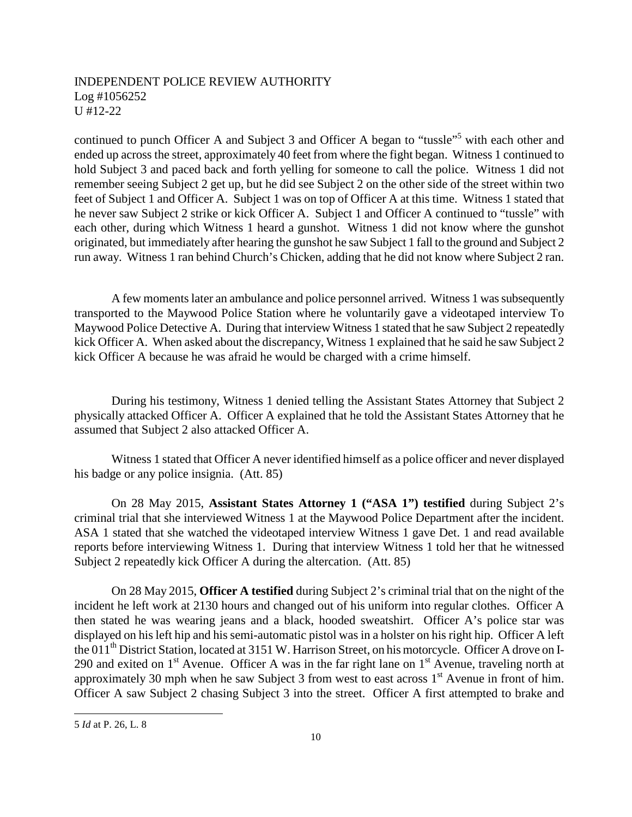continued to punch Officer A and Subject 3 and Officer A began to "tussle"<sup>5</sup> with each other and ended up across the street, approximately 40 feet from where the fight began. Witness 1 continued to hold Subject 3 and paced back and forth yelling for someone to call the police. Witness 1 did not remember seeing Subject 2 get up, but he did see Subject 2 on the other side of the street within two feet of Subject 1 and Officer A. Subject 1 was on top of Officer A at this time. Witness 1 stated that he never saw Subject 2 strike or kick Officer A. Subject 1 and Officer A continued to "tussle" with each other, during which Witness 1 heard a gunshot. Witness 1 did not know where the gunshot originated, but immediately after hearing the gunshot he saw Subject 1 fall to the ground and Subject 2 run away. Witness 1 ran behind Church's Chicken, adding that he did not know where Subject 2 ran.

A few moments later an ambulance and police personnel arrived. Witness 1 was subsequently transported to the Maywood Police Station where he voluntarily gave a videotaped interview To Maywood Police Detective A. During that interview Witness 1 stated that he saw Subject 2 repeatedly kick Officer A. When asked about the discrepancy, Witness 1 explained that he said he saw Subject 2 kick Officer A because he was afraid he would be charged with a crime himself.

During his testimony, Witness 1 denied telling the Assistant States Attorney that Subject 2 physically attacked Officer A. Officer A explained that he told the Assistant States Attorney that he assumed that Subject 2 also attacked Officer A.

Witness 1 stated that Officer A never identified himself as a police officer and never displayed his badge or any police insignia. (Att. 85)

On 28 May 2015, **Assistant States Attorney 1 ("ASA 1") testified** during Subject 2's criminal trial that she interviewed Witness 1 at the Maywood Police Department after the incident. ASA 1 stated that she watched the videotaped interview Witness 1 gave Det. 1 and read available reports before interviewing Witness 1. During that interview Witness 1 told her that he witnessed Subject 2 repeatedly kick Officer A during the altercation. (Att. 85)

On 28 May 2015, **Officer A testified** during Subject 2's criminal trial that on the night of the incident he left work at 2130 hours and changed out of his uniform into regular clothes. Officer A then stated he was wearing jeans and a black, hooded sweatshirt. Officer A's police star was displayed on his left hip and his semi-automatic pistol was in a holster on his right hip. Officer A left the 011<sup>th</sup> District Station, located at 3151 W. Harrison Street, on his motorcycle. Officer A drove on I-290 and exited on  $1<sup>st</sup>$  Avenue. Officer A was in the far right lane on  $1<sup>st</sup>$  Avenue, traveling north at approximately 30 mph when he saw Subject 3 from west to east across  $1<sup>st</sup>$  Avenue in front of him. Officer A saw Subject 2 chasing Subject 3 into the street. Officer A first attempted to brake and

<sup>5</sup> *Id* at P. 26, L. 8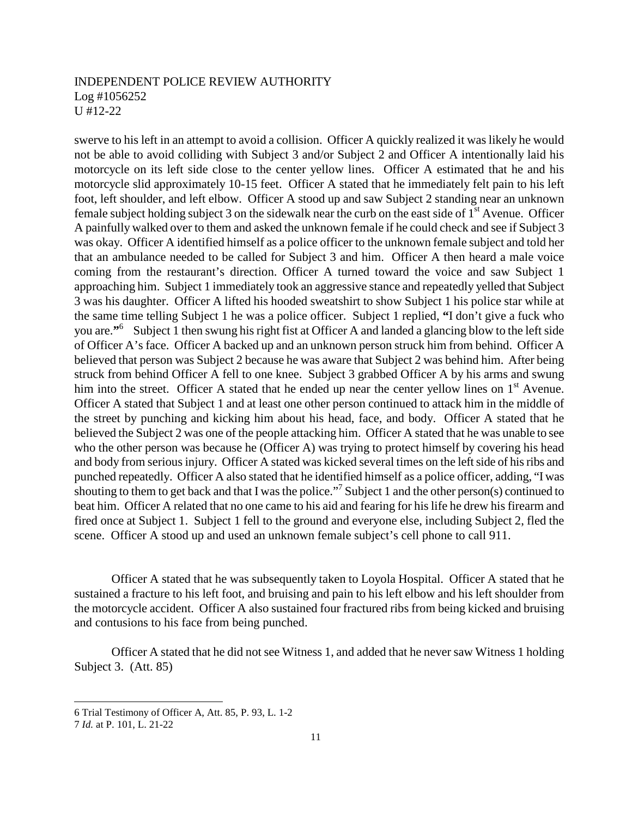swerve to his left in an attempt to avoid a collision. Officer A quickly realized it was likely he would not be able to avoid colliding with Subject 3 and/or Subject 2 and Officer A intentionally laid his motorcycle on its left side close to the center yellow lines. Officer A estimated that he and his motorcycle slid approximately 10-15 feet. Officer A stated that he immediately felt pain to his left foot, left shoulder, and left elbow. Officer A stood up and saw Subject 2 standing near an unknown female subject holding subject 3 on the sidewalk near the curb on the east side of  $1<sup>st</sup>$  Avenue. Officer A painfully walked over to them and asked the unknown female if he could check and see if Subject 3 was okay. Officer A identified himself as a police officer to the unknown female subject and told her that an ambulance needed to be called for Subject 3 and him. Officer A then heard a male voice coming from the restaurant's direction. Officer A turned toward the voice and saw Subject 1 approaching him. Subject 1 immediately took an aggressive stance and repeatedly yelled that Subject 3 was his daughter. Officer A lifted his hooded sweatshirt to show Subject 1 his police star while at the same time telling Subject 1 he was a police officer. Subject 1 replied, **"**I don't give a fuck who you are.**"** 6 Subject 1 then swung his right fist at Officer A and landed a glancing blow to the left side of Officer A's face. Officer A backed up and an unknown person struck him from behind. Officer A believed that person was Subject 2 because he was aware that Subject 2 was behind him. After being struck from behind Officer A fell to one knee. Subject 3 grabbed Officer A by his arms and swung him into the street. Officer A stated that he ended up near the center yellow lines on  $1<sup>st</sup>$  Avenue. Officer A stated that Subject 1 and at least one other person continued to attack him in the middle of the street by punching and kicking him about his head, face, and body. Officer A stated that he believed the Subject 2 was one of the people attacking him. Officer A stated that he was unable to see who the other person was because he (Officer A) was trying to protect himself by covering his head and body from serious injury. Officer A stated was kicked several times on the left side of his ribs and punched repeatedly. Officer A also stated that he identified himself as a police officer, adding, "I was shouting to them to get back and that I was the police."<sup>7</sup> Subject 1 and the other person(s) continued to beat him. Officer A related that no one came to his aid and fearing for his life he drew his firearm and fired once at Subject 1. Subject 1 fell to the ground and everyone else, including Subject 2, fled the scene. Officer A stood up and used an unknown female subject's cell phone to call 911.

Officer A stated that he was subsequently taken to Loyola Hospital. Officer A stated that he sustained a fracture to his left foot, and bruising and pain to his left elbow and his left shoulder from the motorcycle accident. Officer A also sustained four fractured ribs from being kicked and bruising and contusions to his face from being punched.

Officer A stated that he did not see Witness 1, and added that he never saw Witness 1 holding Subject 3. (Att. 85)

<sup>6</sup> Trial Testimony of Officer A, Att. 85, P. 93, L. 1-2

<sup>7</sup> *Id.* at P. 101, L. 21-22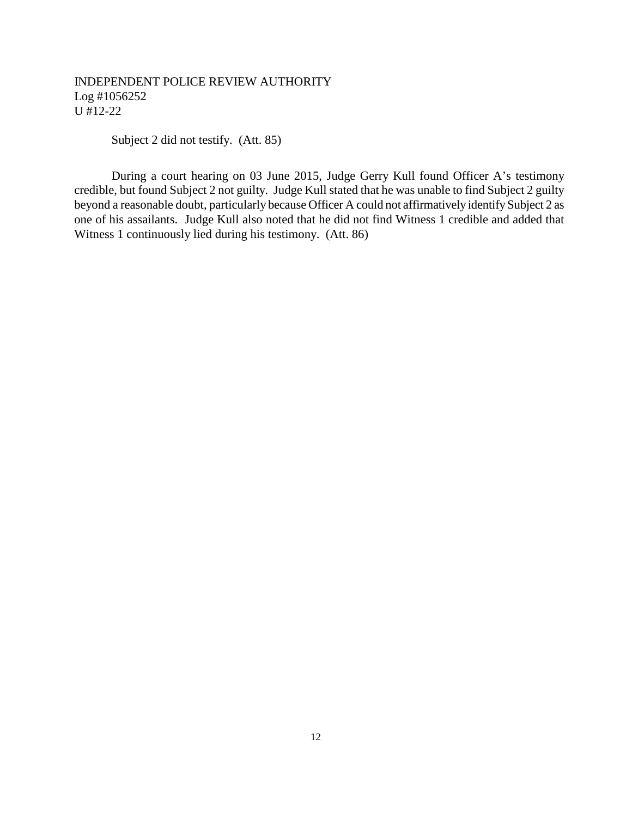Subject 2 did not testify. (Att. 85)

During a court hearing on 03 June 2015, Judge Gerry Kull found Officer A's testimony credible, but found Subject 2 not guilty. Judge Kull stated that he was unable to find Subject 2 guilty beyond a reasonable doubt, particularly because Officer A could not affirmatively identify Subject 2 as one of his assailants. Judge Kull also noted that he did not find Witness 1 credible and added that Witness 1 continuously lied during his testimony. (Att. 86)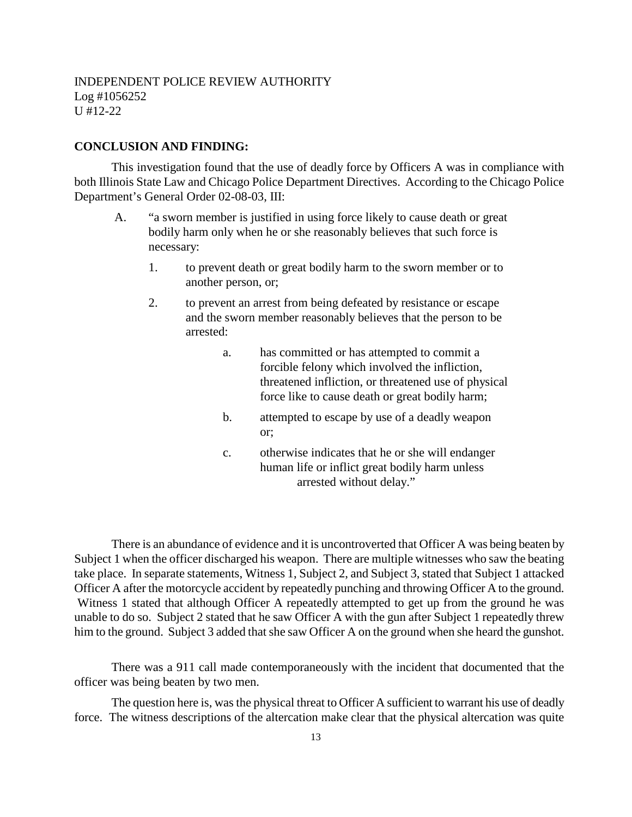### **CONCLUSION AND FINDING:**

This investigation found that the use of deadly force by Officers A was in compliance with both Illinois State Law and Chicago Police Department Directives. According to the Chicago Police Department's General Order 02-08-03, III:

- A. "a sworn member is justified in using force likely to cause death or great bodily harm only when he or she reasonably believes that such force is necessary:
	- 1. to prevent death or great bodily harm to the sworn member or to another person, or;
	- 2. to prevent an arrest from being defeated by resistance or escape and the sworn member reasonably believes that the person to be arrested:
		- a. has committed or has attempted to commit a forcible felony which involved the infliction, threatened infliction, or threatened use of physical force like to cause death or great bodily harm;
		- b. attempted to escape by use of a deadly weapon or;
		- c. otherwise indicates that he or she will endanger human life or inflict great bodily harm unless arrested without delay."

There is an abundance of evidence and it is uncontroverted that Officer A was being beaten by Subject 1 when the officer discharged his weapon. There are multiple witnesses who saw the beating take place. In separate statements, Witness 1, Subject 2, and Subject 3, stated that Subject 1 attacked Officer A after the motorcycle accident by repeatedly punching and throwing Officer A to the ground. Witness 1 stated that although Officer A repeatedly attempted to get up from the ground he was unable to do so. Subject 2 stated that he saw Officer A with the gun after Subject 1 repeatedly threw him to the ground. Subject 3 added that she saw Officer A on the ground when she heard the gunshot.

There was a 911 call made contemporaneously with the incident that documented that the officer was being beaten by two men.

The question here is, was the physical threat to Officer A sufficient to warrant his use of deadly force. The witness descriptions of the altercation make clear that the physical altercation was quite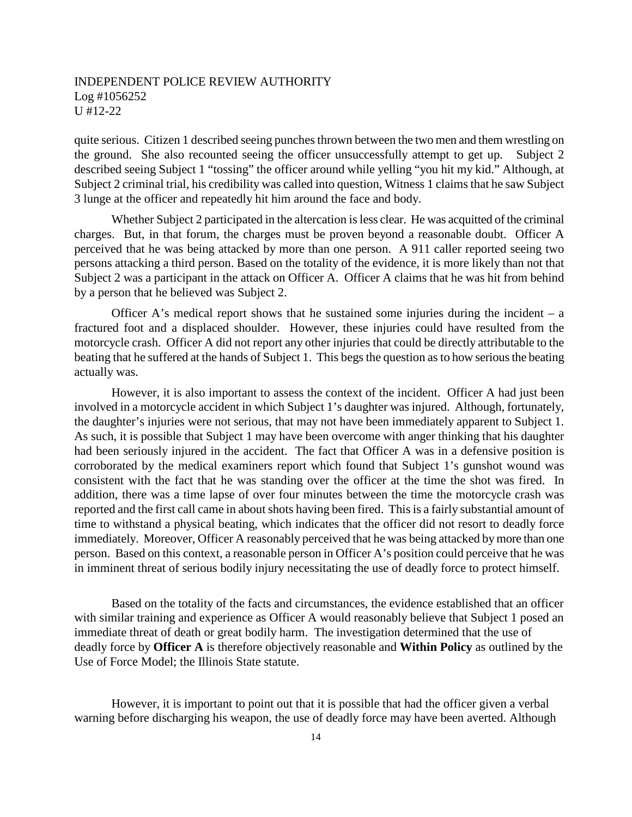quite serious. Citizen 1 described seeing punches thrown between the two men and them wrestling on the ground. She also recounted seeing the officer unsuccessfully attempt to get up. Subject 2 described seeing Subject 1 "tossing" the officer around while yelling "you hit my kid." Although, at Subject 2 criminal trial, his credibility was called into question, Witness 1 claims that he saw Subject 3 lunge at the officer and repeatedly hit him around the face and body.

Whether Subject 2 participated in the altercation is less clear. He was acquitted of the criminal charges. But, in that forum, the charges must be proven beyond a reasonable doubt. Officer A perceived that he was being attacked by more than one person. A 911 caller reported seeing two persons attacking a third person. Based on the totality of the evidence, it is more likely than not that Subject 2 was a participant in the attack on Officer A. Officer A claims that he was hit from behind by a person that he believed was Subject 2.

Officer A's medical report shows that he sustained some injuries during the incident  $- a$ fractured foot and a displaced shoulder. However, these injuries could have resulted from the motorcycle crash. Officer A did not report any other injuries that could be directly attributable to the beating that he suffered at the hands of Subject 1. This begs the question as to how serious the beating actually was.

However, it is also important to assess the context of the incident. Officer A had just been involved in a motorcycle accident in which Subject 1's daughter was injured. Although, fortunately, the daughter's injuries were not serious, that may not have been immediately apparent to Subject 1. As such, it is possible that Subject 1 may have been overcome with anger thinking that his daughter had been seriously injured in the accident. The fact that Officer A was in a defensive position is corroborated by the medical examiners report which found that Subject 1's gunshot wound was consistent with the fact that he was standing over the officer at the time the shot was fired. In addition, there was a time lapse of over four minutes between the time the motorcycle crash was reported and the first call came in about shots having been fired. This is a fairly substantial amount of time to withstand a physical beating, which indicates that the officer did not resort to deadly force immediately. Moreover, Officer A reasonably perceived that he was being attacked by more than one person. Based on this context, a reasonable person in Officer A's position could perceive that he was in imminent threat of serious bodily injury necessitating the use of deadly force to protect himself.

Based on the totality of the facts and circumstances, the evidence established that an officer with similar training and experience as Officer A would reasonably believe that Subject 1 posed an immediate threat of death or great bodily harm. The investigation determined that the use of deadly force by **Officer A** is therefore objectively reasonable and **Within Policy** as outlined by the Use of Force Model; the Illinois State statute.

However, it is important to point out that it is possible that had the officer given a verbal warning before discharging his weapon, the use of deadly force may have been averted. Although